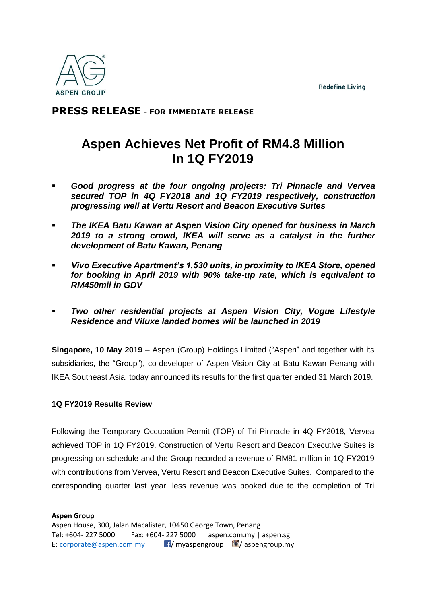**Redefine Living** 



## **PRESS RELEASE - FOR IMMEDIATE RELEASE**

# **Aspen Achieves Net Profit of RM4.8 Million In 1Q FY2019**

- *Good progress at the four ongoing projects: Tri Pinnacle and Vervea secured TOP in 4Q FY2018 and 1Q FY2019 respectively, construction progressing well at Vertu Resort and Beacon Executive Suites*
- *The IKEA Batu Kawan at Aspen Vision City opened for business in March 2019 to a strong crowd, IKEA will serve as a catalyst in the further development of Batu Kawan, Penang*
- *Vivo Executive Apartment's 1,530 units, in proximity to IKEA Store, opened for booking in April 2019 with 90% take-up rate, which is equivalent to RM450mil in GDV*
- *Two other residential projects at Aspen Vision City, Vogue Lifestyle Residence and Viluxe landed homes will be launched in 2019*

**Singapore, 10 May 2019** – Aspen (Group) Holdings Limited ("Aspen" and together with its subsidiaries, the "Group"), co-developer of Aspen Vision City at Batu Kawan Penang with IKEA Southeast Asia, today announced its results for the first quarter ended 31 March 2019.

### **1Q FY2019 Results Review**

Following the Temporary Occupation Permit (TOP) of Tri Pinnacle in 4Q FY2018, Vervea achieved TOP in 1Q FY2019. Construction of Vertu Resort and Beacon Executive Suites is progressing on schedule and the Group recorded a revenue of RM81 million in 1Q FY2019 with contributions from Vervea, Vertu Resort and Beacon Executive Suites. Compared to the corresponding quarter last year, less revenue was booked due to the completion of Tri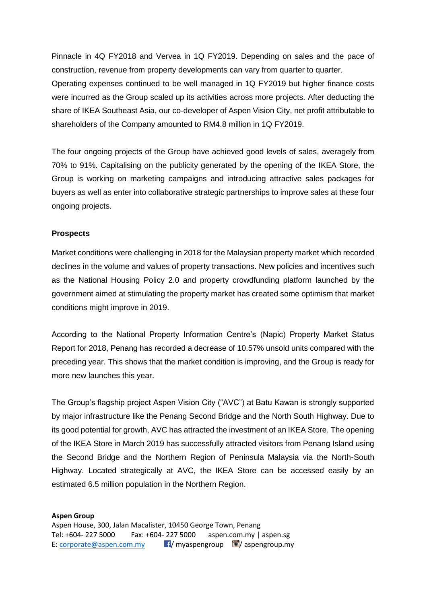Pinnacle in 4Q FY2018 and Vervea in 1Q FY2019. Depending on sales and the pace of construction, revenue from property developments can vary from quarter to quarter.

Operating expenses continued to be well managed in 1Q FY2019 but higher finance costs were incurred as the Group scaled up its activities across more projects. After deducting the share of IKEA Southeast Asia, our co-developer of Aspen Vision City, net profit attributable to shareholders of the Company amounted to RM4.8 million in 1Q FY2019.

The four ongoing projects of the Group have achieved good levels of sales, averagely from 70% to 91%. Capitalising on the publicity generated by the opening of the IKEA Store, the Group is working on marketing campaigns and introducing attractive sales packages for buyers as well as enter into collaborative strategic partnerships to improve sales at these four ongoing projects.

#### **Prospects**

Market conditions were challenging in 2018 for the Malaysian property market which recorded declines in the volume and values of property transactions. New policies and incentives such as the National Housing Policy 2.0 and property crowdfunding platform launched by the government aimed at stimulating the property market has created some optimism that market conditions might improve in 2019.

According to the National Property Information Centre's (Napic) Property Market Status Report for 2018, Penang has recorded a decrease of 10.57% unsold units compared with the preceding year. This shows that the market condition is improving, and the Group is ready for more new launches this year.

The Group's flagship project Aspen Vision City ("AVC") at Batu Kawan is strongly supported by major infrastructure like the Penang Second Bridge and the North South Highway. Due to its good potential for growth, AVC has attracted the investment of an IKEA Store. The opening of the IKEA Store in March 2019 has successfully attracted visitors from Penang Island using the Second Bridge and the Northern Region of Peninsula Malaysia via the North-South Highway. Located strategically at AVC, the IKEA Store can be accessed easily by an estimated 6.5 million population in the Northern Region.

#### **Aspen Group**  Aspen House, 300, Jalan Macalister, 10450 George Town, Penang Tel: +604- 227 5000 Fax: +604- 227 5000 aspen.com.my | aspen.sg E: [corporate@aspen.com.my](mailto:corporate@aspen.com.my)  $\blacksquare$ / myaspengroup  $\blacksquare$ / aspengroup.my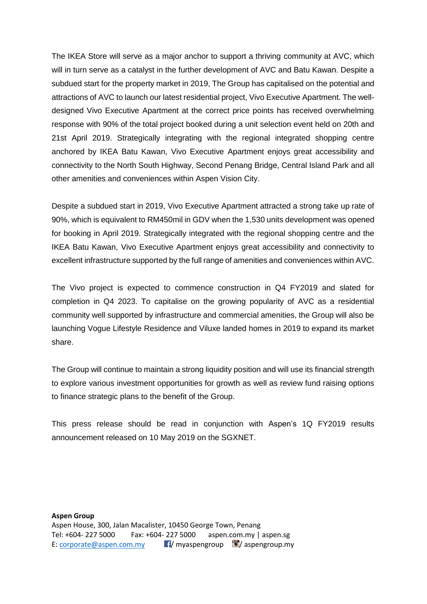The IKEA Store will serve as a major anchor to support a thriving community at AVC, which will in turn serve as a catalyst in the further development of AVC and Batu Kawan. Despite a subdued start for the property market in 2019, The Group has capitalised on the potential and attractions of AVC to launch our latest residential project, Vivo Executive Apartment. The welldesigned Vivo Executive Apartment at the correct price points has received overwhelming response with 90% of the total project booked during a unit selection event held on 20th and 21st April 2019. Strategically integrating with the regional integrated shopping centre anchored by IKEA Batu Kawan, Vivo Executive Apartment enjoys great accessibility and connectivity to the North South Highway, Second Penang Bridge, Central Island Park and all other amenities and conveniences within Aspen Vision City.

Despite a subdued start in 2019, Vivo Executive Apartment attracted a strong take up rate of 90%, which is equivalent to RM450mil in GDV when the 1,530 units development was opened for booking in April 2019. Strategically integrated with the regional shopping centre and the IKEA Batu Kawan, Vivo Executive Apartment enjoys great accessibility and connectivity to excellent infrastructure supported by the full range of amenities and conveniences within AVC.

The Vivo project is expected to commence construction in Q4 FY2019 and slated for completion in Q4 2023. To capitalise on the growing popularity of AVC as a residential community well supported by infrastructure and commercial amenities, the Group will also be launching Vogue Lifestyle Residence and Viluxe landed homes in 2019 to expand its market share.

The Group will continue to maintain a strong liquidity position and will use its financial strength to explore various investment opportunities for growth as well as review fund raising options to finance strategic plans to the benefit of the Group.

This press release should be read in conjunction with Aspen's 1Q FY2019 results announcement released on 10 May 2019 on the SGXNET.